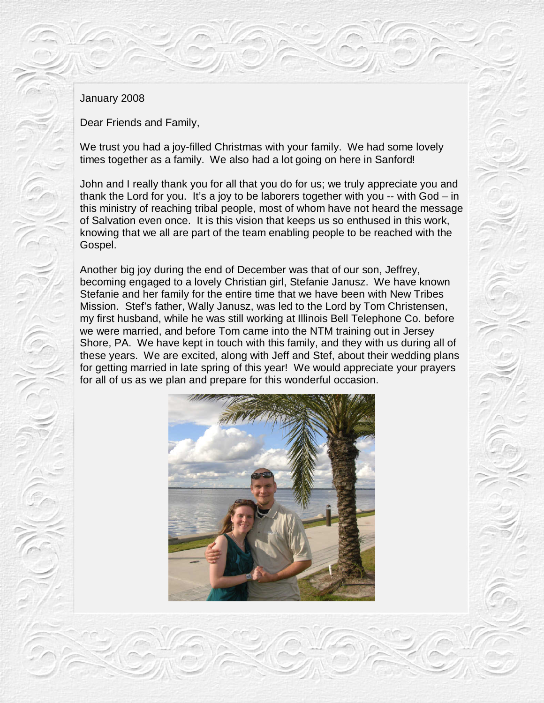## January 2008

Dear Friends and Family,

We trust you had a joy-filled Christmas with your family. We had some lovely times together as a family. We also had a lot going on here in Sanford!

John and I really thank you for all that you do for us; we truly appreciate you and thank the Lord for you. It's a joy to be laborers together with you -- with God – in this ministry of reaching tribal people, most of whom have not heard the message of Salvation even once. It is this vision that keeps us so enthused in this work, knowing that we all are part of the team enabling people to be reached with the Gospel.

Another big joy during the end of December was that of our son, Jeffrey, becoming engaged to a lovely Christian girl, Stefanie Janusz. We have known Stefanie and her family for the entire time that we have been with New Tribes Mission. Stef's father, Wally Janusz, was led to the Lord by Tom Christensen, my first husband, while he was still working at Illinois Bell Telephone Co. before we were married, and before Tom came into the NTM training out in Jersey Shore, PA. We have kept in touch with this family, and they with us during all of these years. We are excited, along with Jeff and Stef, about their wedding plans for getting married in late spring of this year! We would appreciate your prayers for all of us as we plan and prepare for this wonderful occasion.